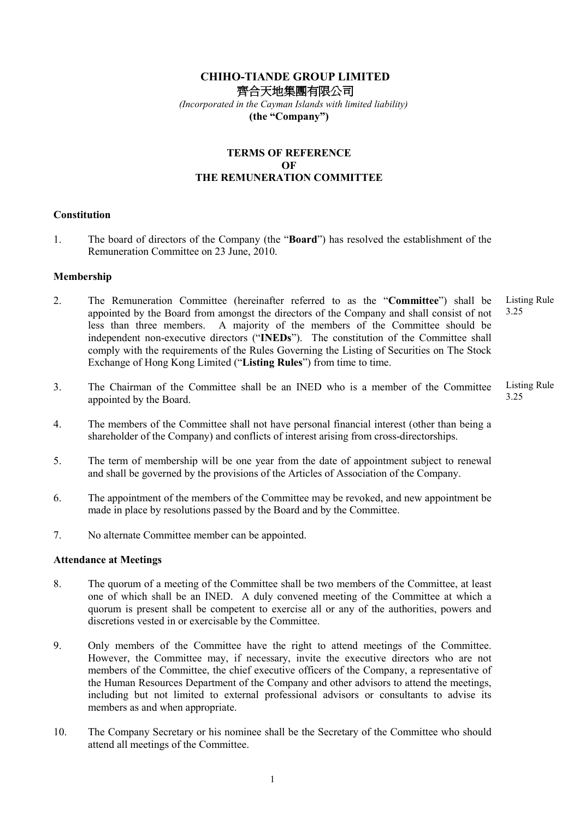# CHIHO-TIANDE GROUP LIMITED 齊合天地集團有限公司

 (Incorporated in the Cayman Islands with limited liability) (the "Company")

# TERMS OF REFERENCE OF THE REMUNERATION COMMITTEE

### **Constitution**

1. The board of directors of the Company (the "Board") has resolved the establishment of the Remuneration Committee on 23 June, 2010.

### Membership

- 2. The Remuneration Committee (hereinafter referred to as the "Committee") shall be appointed by the Board from amongst the directors of the Company and shall consist of not less than three members. A majority of the members of the Committee should be independent non-executive directors ("INEDs"). The constitution of the Committee shall comply with the requirements of the Rules Governing the Listing of Securities on The Stock Exchange of Hong Kong Limited ("Listing Rules") from time to time. Listing Rule 3.25
- 3. The Chairman of the Committee shall be an INED who is a member of the Committee appointed by the Board. Listing Rule 3.25
- 4. The members of the Committee shall not have personal financial interest (other than being a shareholder of the Company) and conflicts of interest arising from cross-directorships.
- 5. The term of membership will be one year from the date of appointment subject to renewal and shall be governed by the provisions of the Articles of Association of the Company.
- 6. The appointment of the members of the Committee may be revoked, and new appointment be made in place by resolutions passed by the Board and by the Committee.
- 7. No alternate Committee member can be appointed.

### Attendance at Meetings

- 8. The quorum of a meeting of the Committee shall be two members of the Committee, at least one of which shall be an INED. A duly convened meeting of the Committee at which a quorum is present shall be competent to exercise all or any of the authorities, powers and discretions vested in or exercisable by the Committee.
- 9. Only members of the Committee have the right to attend meetings of the Committee. However, the Committee may, if necessary, invite the executive directors who are not members of the Committee, the chief executive officers of the Company, a representative of the Human Resources Department of the Company and other advisors to attend the meetings, including but not limited to external professional advisors or consultants to advise its members as and when appropriate.
- 10. The Company Secretary or his nominee shall be the Secretary of the Committee who should attend all meetings of the Committee.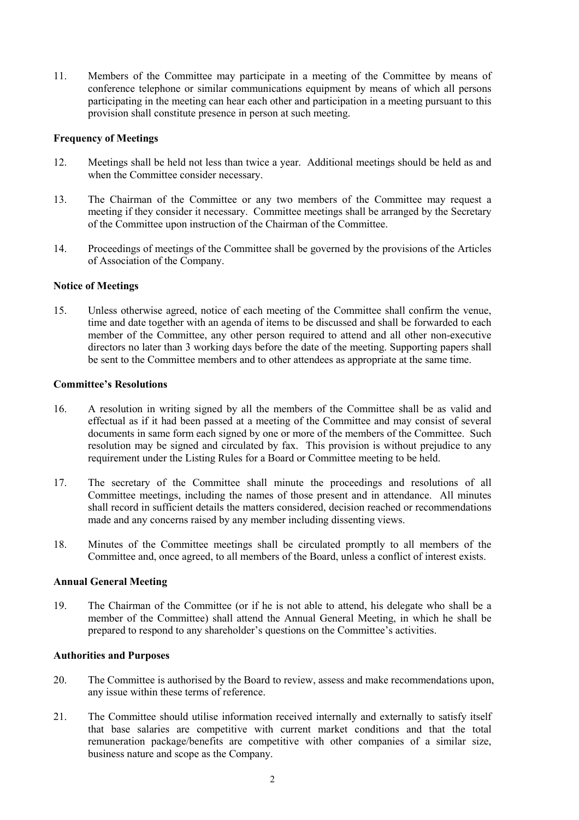11. Members of the Committee may participate in a meeting of the Committee by means of conference telephone or similar communications equipment by means of which all persons participating in the meeting can hear each other and participation in a meeting pursuant to this provision shall constitute presence in person at such meeting.

### Frequency of Meetings

- 12. Meetings shall be held not less than twice a year. Additional meetings should be held as and when the Committee consider necessary.
- 13. The Chairman of the Committee or any two members of the Committee may request a meeting if they consider it necessary. Committee meetings shall be arranged by the Secretary of the Committee upon instruction of the Chairman of the Committee.
- 14. Proceedings of meetings of the Committee shall be governed by the provisions of the Articles of Association of the Company.

## Notice of Meetings

15. Unless otherwise agreed, notice of each meeting of the Committee shall confirm the venue, time and date together with an agenda of items to be discussed and shall be forwarded to each member of the Committee, any other person required to attend and all other non-executive directors no later than 3 working days before the date of the meeting. Supporting papers shall be sent to the Committee members and to other attendees as appropriate at the same time.

### Committee's Resolutions

- 16. A resolution in writing signed by all the members of the Committee shall be as valid and effectual as if it had been passed at a meeting of the Committee and may consist of several documents in same form each signed by one or more of the members of the Committee. Such resolution may be signed and circulated by fax. This provision is without prejudice to any requirement under the Listing Rules for a Board or Committee meeting to be held.
- 17. The secretary of the Committee shall minute the proceedings and resolutions of all Committee meetings, including the names of those present and in attendance. All minutes shall record in sufficient details the matters considered, decision reached or recommendations made and any concerns raised by any member including dissenting views.
- 18. Minutes of the Committee meetings shall be circulated promptly to all members of the Committee and, once agreed, to all members of the Board, unless a conflict of interest exists.

### Annual General Meeting

19. The Chairman of the Committee (or if he is not able to attend, his delegate who shall be a member of the Committee) shall attend the Annual General Meeting, in which he shall be prepared to respond to any shareholder's questions on the Committee's activities.

## Authorities and Purposes

- 20. The Committee is authorised by the Board to review, assess and make recommendations upon, any issue within these terms of reference.
- 21. The Committee should utilise information received internally and externally to satisfy itself that base salaries are competitive with current market conditions and that the total remuneration package/benefits are competitive with other companies of a similar size, business nature and scope as the Company.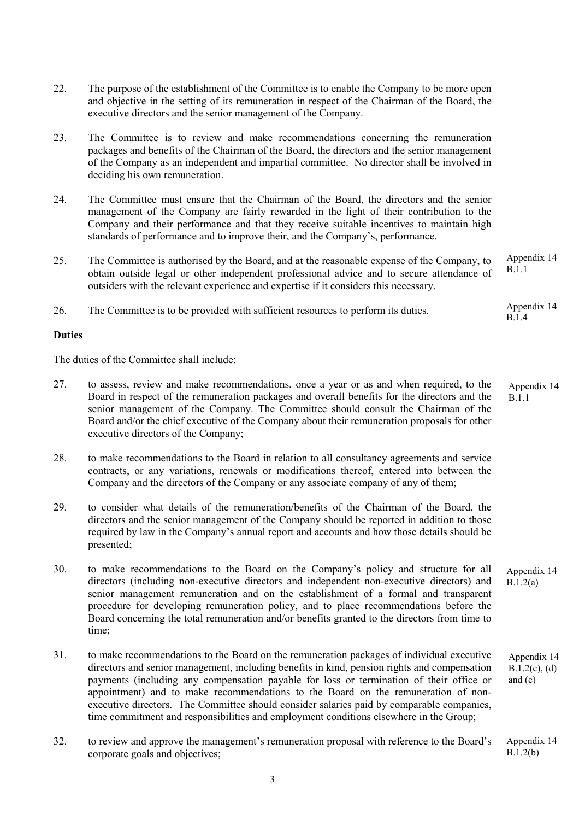- 22. The purpose of the establishment of the Committee is to enable the Company to be more open and objective in the setting of its remuneration in respect of the Chairman of the Board, the executive directors and the senior management of the Company.
- 23. The Committee is to review and make recommendations concerning the remuneration packages and benefits of the Chairman of the Board, the directors and the senior management of the Company as an independent and impartial committee. No director shall be involved in deciding his own remuneration.
- 24. The Committee must ensure that the Chairman of the Board, the directors and the senior management of the Company are fairly rewarded in the light of their contribution to the Company and their performance and that they receive suitable incentives to maintain high standards of performance and to improve their, and the Company's, performance.
- 25. The Committee is authorised by the Board, and at the reasonable expense of the Company, to obtain outside legal or other independent professional advice and to secure attendance of outsiders with the relevant experience and expertise if it considers this necessary. Appendix 14 B.1.1
- 26. The Committee is to be provided with sufficient resources to perform its duties. Appendix 14 B.1.4

### Duties

The duties of the Committee shall include:

- 27. to assess, review and make recommendations, once a year or as and when required, to the Board in respect of the remuneration packages and overall benefits for the directors and the senior management of the Company. The Committee should consult the Chairman of the Board and/or the chief executive of the Company about their remuneration proposals for other executive directors of the Company; Appendix 14 B.1.1
- 28. to make recommendations to the Board in relation to all consultancy agreements and service contracts, or any variations, renewals or modifications thereof, entered into between the Company and the directors of the Company or any associate company of any of them;
- 29. to consider what details of the remuneration/benefits of the Chairman of the Board, the directors and the senior management of the Company should be reported in addition to those required by law in the Company's annual report and accounts and how those details should be presented;
- 30. to make recommendations to the Board on the Company's policy and structure for all directors (including non-executive directors and independent non-executive directors) and senior management remuneration and on the establishment of a formal and transparent procedure for developing remuneration policy, and to place recommendations before the Board concerning the total remuneration and/or benefits granted to the directors from time to time; Appendix 14 B.1.2(a)
- 31. to make recommendations to the Board on the remuneration packages of individual executive directors and senior management, including benefits in kind, pension rights and compensation payments (including any compensation payable for loss or termination of their office or appointment) and to make recommendations to the Board on the remuneration of nonexecutive directors. The Committee should consider salaries paid by comparable companies, time commitment and responsibilities and employment conditions elsewhere in the Group; Appendix 14  $B.1.2(c)$ , (d) and (e)
- 32. to review and approve the management's remuneration proposal with reference to the Board's corporate goals and objectives; Appendix 14 B.1.2(b)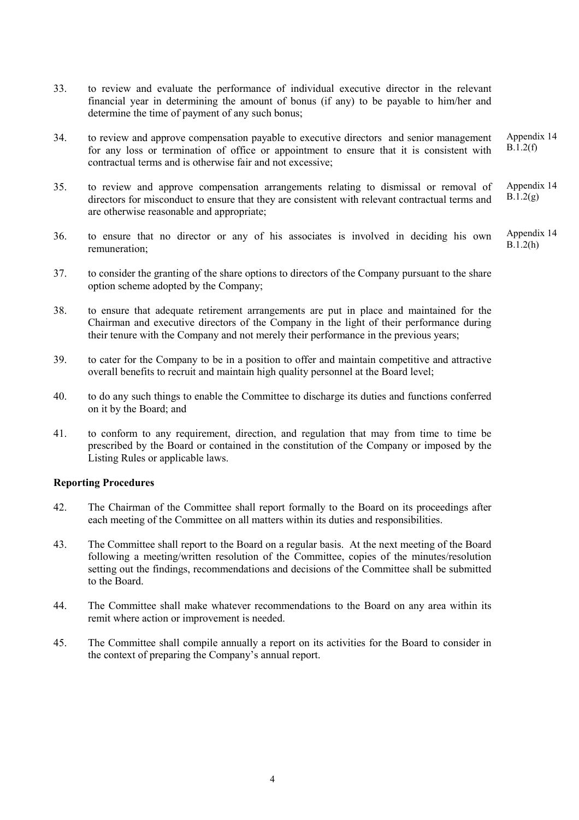- 33. to review and evaluate the performance of individual executive director in the relevant financial year in determining the amount of bonus (if any) to be payable to him/her and determine the time of payment of any such bonus;
- 34. to review and approve compensation payable to executive directors and senior management for any loss or termination of office or appointment to ensure that it is consistent with contractual terms and is otherwise fair and not excessive; Appendix 14  $\overline{B.1.2(f)}$
- 35. to review and approve compensation arrangements relating to dismissal or removal of directors for misconduct to ensure that they are consistent with relevant contractual terms and are otherwise reasonable and appropriate; Appendix 14  $B.1.2(g)$
- 36. to ensure that no director or any of his associates is involved in deciding his own remuneration; Appendix 14  $\overline{B.1.2(h)}$
- 37. to consider the granting of the share options to directors of the Company pursuant to the share option scheme adopted by the Company;
- 38. to ensure that adequate retirement arrangements are put in place and maintained for the Chairman and executive directors of the Company in the light of their performance during their tenure with the Company and not merely their performance in the previous years;
- 39. to cater for the Company to be in a position to offer and maintain competitive and attractive overall benefits to recruit and maintain high quality personnel at the Board level;
- 40. to do any such things to enable the Committee to discharge its duties and functions conferred on it by the Board; and
- 41. to conform to any requirement, direction, and regulation that may from time to time be prescribed by the Board or contained in the constitution of the Company or imposed by the Listing Rules or applicable laws.

#### Reporting Procedures

- 42. The Chairman of the Committee shall report formally to the Board on its proceedings after each meeting of the Committee on all matters within its duties and responsibilities.
- 43. The Committee shall report to the Board on a regular basis. At the next meeting of the Board following a meeting/written resolution of the Committee, copies of the minutes/resolution setting out the findings, recommendations and decisions of the Committee shall be submitted to the Board.
- 44. The Committee shall make whatever recommendations to the Board on any area within its remit where action or improvement is needed.
- 45. The Committee shall compile annually a report on its activities for the Board to consider in the context of preparing the Company's annual report.